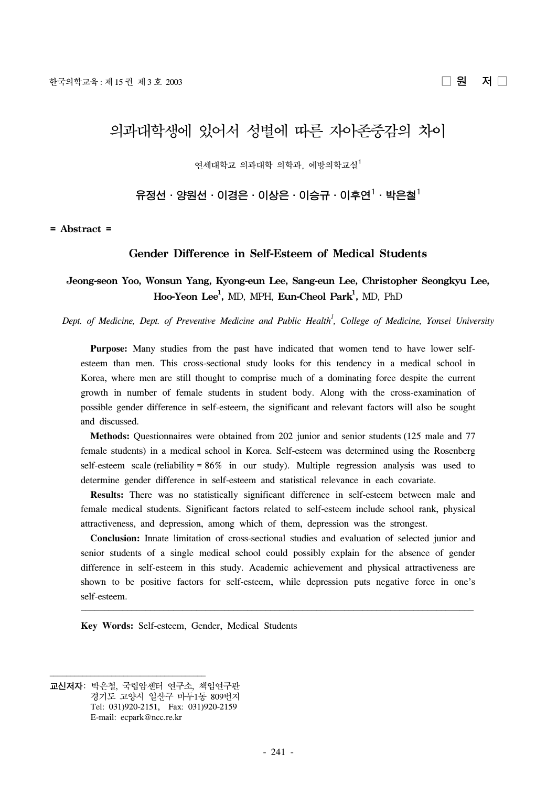# 의과대학생에 있어서 성별에 따른 자아존중감의 차이

연세대학교 의과대학 의학과, 예방의학교실1

유정선ㆍ양원선ㆍ이경은ㆍ이상은ㆍ이승규ㆍ이후연<sup>1</sup>ㆍ박은철<sup>1</sup>

**= Abstract =**

#### **Gender Difference in Self-Esteem of Medical Students**

# **Jeong-seon Yoo, Wonsun Yang, Kyong-eun Lee, Sang-eun Lee, Christopher Seongkyu Lee,**  $\text{Hoo-Yeon Lee}^1$ , MD, MPH,  $\text{Eun-Cheol Park}^1$ , MD,  $\text{PhD}$

Dept. of Medicine, Dept. of Preventive Medicine and Public Health<sup>1</sup>, College of Medicine, Yonsei University

 **Purpose:** Many studies from the past have indicated that women tend to have lower selfesteem than men. This cross-sectional study looks for this tendency in a medical school in Korea, where men are still thought to comprise much of a dominating force despite the current growth in number of female students in student body. Along with the cross-examination of possible gender difference in self-esteem, the significant and relevant factors will also be sought and discussed.

 **Methods:** Questionnaires were obtained from 202 junior and senior students (125 male and 77 female students) in a medical school in Korea. Self-esteem was determined using the Rosenberg self-esteem scale (reliability = 86% in our study). Multiple regression analysis was used to determine gender difference in self-esteem and statistical relevance in each covariate.

 **Results:** There was no statistically significant difference in self-esteem between male and female medical students. Significant factors related to self-esteem include school rank, physical attractiveness, and depression, among which of them, depression was the strongest.

 **Conclusion:** Innate limitation of cross-sectional studies and evaluation of selected junior and senior students of a single medical school could possibly explain for the absence of gender difference in self-esteem in this study. Academic achievement and physical attractiveness are shown to be positive factors for self-esteem, while depression puts negative force in one's self-esteem.

<u> El seu de la característica de la característica de la característica de la característica de la característi</u>

**Key Words:** Self-esteem, Gender, Medical Students

<u> 1989 - Johann Stoff, deutscher Stoff, der Stoff, der Stoff, der Stoff, der Stoff, der Stoff, der Stoff, der S</u>

교신저자: 박은철, 국립암센터 연구소, 책임연구관 경기도 고양시 일산구 마두1동 809번지 Tel: 031)920-2151, Fax: 031)920-2159 E-mail: ecpark@ncc.re.kr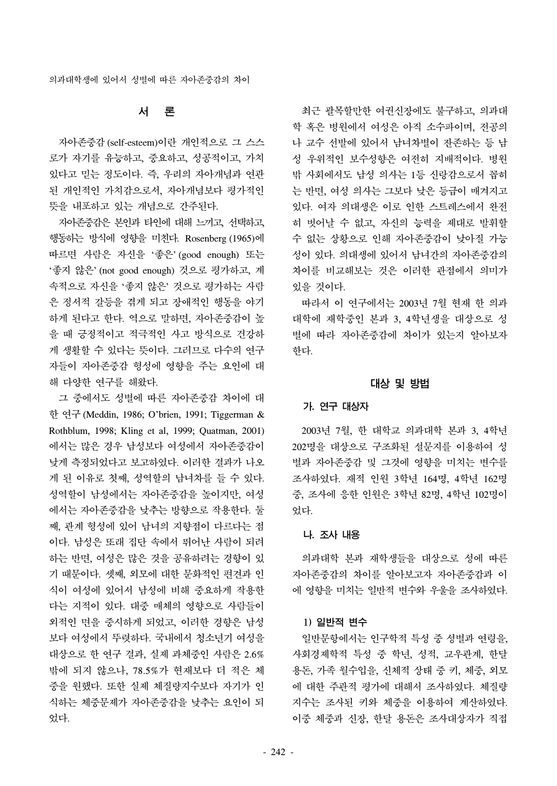## 서 론

 자아존중감 (self-esteem)이란 개인적으로 그 스스 로가 자기를 유능하고, 중요하고, 성공적이고, 가치 있다고 믿는 정도이다. 즉, 우리의 자아개념과 연관 된 개인적인 가치감으로서, 자아개념보다 평가적인 뜻을 내포하고 있는 개념으로 간주된다.

 자아존중감은 본인과 타인에 대해 느끼고, 선택하고, 행동하는 방식에 영향을 미친다. Rosenberg (1965)에 따르면 사람은 자신을 '좋은' (good enough) 또는 '좋지 않은' (not good enough) 것으로 평가하고, 계 속적으로 자신을 '좋지 않은' 것으로 평가하는 사람 은 정서적 갈등을 겪게 되고 장애적인 행동을 야기 하게 된다고 한다. 역으로 말하면, 자아존중감이 높 을 때 긍정적이고 적극적인 사고 방식으로 건강하 게 생활할 수 있다는 뜻이다. 그러므로 다수의 연구 자들이 자아존중감 형성에 영향을 주는 요인에 대 해 다양한 연구를 해왔다.

 그 중에서도 성별에 따른 자아존중감 차이에 대 한 연구 (Meddin, 1986; O'brien, 1991; Tiggerman & Rothblum, 1998; Kling et al, 1999; Quatman, 2001) 에서는 많은 경우 남성보다 여성에서 자아존중감이 낮게 측정되었다고 보고하였다. 이러한 결과가 나오 게 된 이유로 첫째, 성역할의 남녀차를 들 수 있다. 성역할이 남성에서는 자아존중감을 높이지만, 여성 에서는 자아존중감을 낮추는 방향으로 작용한다. 둘 째, 관계 형성에 있어 남녀의 지향점이 다르다는 점 이다. 남성은 또래 집단 속에서 뛰어난 사람이 되려 하는 반면, 여성은 많은 것을 공유하려는 경향이 있 기 때문이다. 셋째, 외모에 대한 문화적인 편견과 인 식이 여성에 있어서 남성에 비해 중요하게 작용한 다는 지적이 있다. 대중 매체의 영향으로 사람들이 외적인 면을 중시하게 되었고, 이러한 경향은 남성 보다 여성에서 뚜렷하다. 국내에서 청소년기 여성을 대상으로 한 연구 결과, 실제 과체중인 사람은 2.6% 밖에 되지 않으나, 78.5%가 현재보다 더 적은 체 중을 원했다. 또한 실제 체질량지수보다 자기가 인 식하는 체중문제가 자아존중감을 낮추는 요인이 되 었다.

 최근 괄목할만한 여권신장에도 불구하고, 의과대 학 혹은 병원에서 여성은 아직 소수파이며, 전공의 나 교수 선발에 있어서 남녀차별이 잔존하는 등 남 성 우위적인 보수성향은 여전히 지배적이다. 병원 밖 사회에서도 남성 의사는 1등 신랑감으로서 꼽히 는 반면, 여성 의사는 그보다 낮은 등급이 매겨지고 있다. 여자 의대생은 이로 인한 스트레스에서 완전 히 벗어날 수 없고, 자신의 능력을 제대로 발휘할 수 없는 상황으로 인해 자아존중감이 낮아질 가능 성이 있다. 의대생에 있어서 남녀간의 자아존중감의 차이를 비교해보는 것은 이러한 관점에서 의미가 있을 것이다.

 따라서 이 연구에서는 2003년 7월 현재 한 의과 대학에 재학중인 본과 3, 4학년생을 대상으로 성 별에 따라 자아존중감에 차이가 있는지 알아보자 한다.

#### 대상 및 방법

#### 가. 연구 대상자

 2003년 7월, 한 대학교 의과대학 본과 3, 4학년 202명을 대상으로 구조화된 설문지를 이용하여 성 별과 자아존중감 및 그것에 영향을 미치는 변수를 조사하였다. 재적 인원 3학년 164명, 4학년 162명 중, 조사에 응한 인원은 3학년 82명, 4학년 102명이 었다.

#### 나. 조사 내용

 의과대학 본과 재학생들을 대상으로 성에 따른 자아존중감의 차이를 알아보고자 자아존중감과 이 에 영향을 미치는 일반적 변수와 우울을 조사하였다.

#### 1) 일반적 변수

 일반문항에서는 인구학적 특성 중 성별과 연령을, 사회경제학적 특성 중 학년, 성적, 교우관계, 한달 용돈, 가족 월수입을, 신체적 상태 중 키, 체중, 외모 에 대한 주관적 평가에 대해서 조사하였다. 체질량 지수는 조사된 키와 체중을 이용하여 계산하였다. 이중 체중과 신장, 한달 용돈은 조사대상자가 직접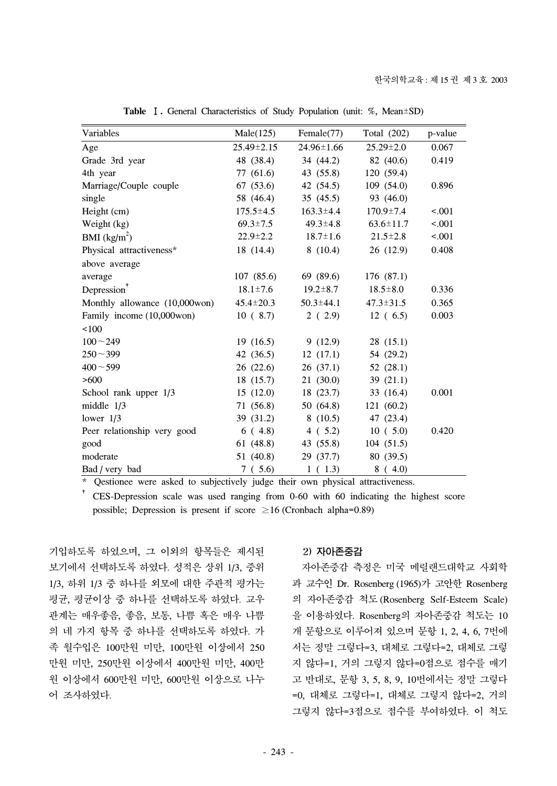| Variables                     | Male(125)        | Female(77)       | Total (202)     | p-value |
|-------------------------------|------------------|------------------|-----------------|---------|
| Age                           | $25.49 \pm 2.15$ | $24.96 \pm 1.66$ | $25.29 \pm 2.0$ | 0.067   |
| Grade 3rd year                | 48 (38.4)        | 34(44.2)         | 82 (40.6)       | 0.419   |
| 4th year                      | 77 (61.6)        | 43 (55.8)        | 120 (59.4)      |         |
| Marriage/Couple couple        | 67(53.6)         | 42 (54.5)        | 109(54.0)       | 0.896   |
| single                        | 58 (46.4)        | 35(45.5)         | 93 (46.0)       |         |
| Height (cm)                   | $175.5 \pm 4.5$  | $163.3 \pm 4.4$  | $170.9 \pm 7.4$ | < .001  |
| Weight (kg)                   | $69.3 \pm 7.5$   | $49.3 \pm 4.8$   | $63.6 \pm 11.7$ | < .001  |
| BMI $(kg/m2)$                 | $22.9 \pm 2.2$   | $18.7 \pm 1.6$   | $21.5 \pm 2.8$  | < .001  |
| Physical attractiveness*      | 18(14.4)         | 8(10.4)          | 26(12.9)        | 0.408   |
| above average                 |                  |                  |                 |         |
| average                       | 107(85.6)        | 69 (89.6)        | 176(87.1)       |         |
| $Depression^*$                | $18.1 \pm 7.6$   | $19.2 \pm 8.7$   | $18.5 \pm 8.0$  | 0.336   |
| Monthly allowance (10,000won) | $45.4 \pm 20.3$  | $50.3 \pm 44.1$  | $47.3 \pm 31.5$ | 0.365   |
| Family income (10,000won)     | 10(8.7)          | 2(2.9)           | 12(6.5)         | 0.003   |
| 100                           |                  |                  |                 |         |
| $100 - 249$                   | 19(16.5)         | 9(12.9)          | 28(15.1)        |         |
| $250 - 399$                   | 42 $(36.5)$      | 12(17.1)         | 54 (29.2)       |         |
| $400 - 599$                   | 26(22.6)         | 26(37.1)         | 52 $(28.1)$     |         |
| >600                          | 18(15.7)         | 21 (30.0)        | 39(21.1)        |         |
| School rank upper 1/3         | 15(12.0)         | 18(23.7)         | 33(16.4)        | 0.001   |
| middle $1/3$                  | 71 (56.8)        | 50 (64.8)        | 121 (60.2)      |         |
| lower $1/3$                   | 39 (31.2)        | 8(10.5)          | 47 (23.4)       |         |
| Peer relationship very good   | 6(4.8)           | 4(5.2)           | 10(5.0)         | 0.420   |
| good                          | 61(48.8)         | 43 (55.8)        | 104(51.5)       |         |
| moderate                      | 51 (40.8)        | 29(37.7)         | 80 (39.5)       |         |
| Bad / very bad                | 7(5.6)           | 1(1.3)           | 8(4.0)          |         |

**Table** Ⅰ**.** General Characteristics of Study Population (unit: %, Mean±SD)

\* Qestionee were asked to subjectively judge their own physical attractiveness.

† CES-Depression scale was used ranging from 0-60 with 60 indicating the highest score possible; Depression is present if score  $\geq 16$  (Cronbach alpha=0.89)

기입하도록 하였으며, 그 이외의 항목들은 제시된 보기에서 선택하도록 하였다. 성적은 상위 1/3, 중위 1/3, 하위 1/3 중 하나를 외모에 대한 주관적 평가는 평균, 평균이상 중 하나를 선택하도록 하였다. 교우 관계는 매우좋음, 좋음, 보통, 나쁨 혹은 매우 나쁨 의 네 가지 항목 중 하나를 선택하도록 하였다. 가 족 월수입은 100만원 미만, 100만원 이상에서 250 만원 미만, 250만원 이상에서 400만원 미만, 400만 원 이상에서 600만원 미만, 600만원 이상으로 나누 어 조사하였다.

## 2) 자아존중감

 자아존중감 측정은 미국 메릴랜드대학교 사회학 과 교수인 Dr. Rosenberg (1965)가 고안한 Rosenberg 의 자아존중감 척도 (Rosenberg Self-Esteem Scale) 을 이용하였다. Rosenberg의 자아존중감 척도는 10 개 문항으로 이루어져 있으며 문항 1, 2, 4, 6, 7번에 서는 정말 그렇다=3, 대체로 그렇다=2, 대체로 그렇 지 않다=1, 거의 그렇지 않다=0점으로 점수를 매기 고 반대로, 문항 3, 5, 8, 9, 10번에서는 정말 그렇다 =0, 대체로 그렇다=1, 대체로 그렇지 않다=2, 거의 그렇지 않다=3점으로 점수를 부여하였다. 이 척도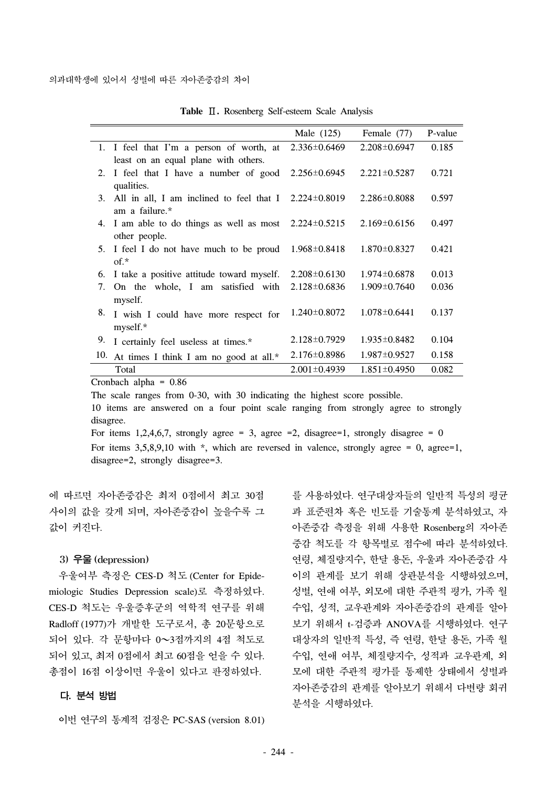|     |                                                              | Male (125)         | Female (77)        | P-value |
|-----|--------------------------------------------------------------|--------------------|--------------------|---------|
|     | 1. I feel that I'm a person of worth, at                     | $2.336 \pm 0.6469$ | $2.208 \pm 0.6947$ | 0.185   |
|     | least on an equal plane with others.                         |                    |                    |         |
| 2.  | I feel that I have a number of good                          | 2.256±0.6945       | $2.221 \pm 0.5287$ | 0.721   |
|     | qualities.                                                   |                    |                    |         |
| 3.  | All in all, I am inclined to feel that I $2.224 \pm 0.8019$  |                    | $2.286 \pm 0.8088$ | 0.597   |
|     | am a failure.*                                               |                    |                    |         |
|     | 4. I am able to do things as well as most $2.224 \pm 0.5215$ |                    | $2.169 \pm 0.6156$ | 0.497   |
|     | other people.                                                |                    |                    |         |
|     | 5. I feel I do not have much to be proud                     | 1.968±0.8418       | $1.870 \pm 0.8327$ | 0.421   |
|     | $of.*$                                                       |                    |                    |         |
| 6.  | I take a positive attitude toward myself.                    | $2.208 \pm 0.6130$ | $1.974 \pm 0.6878$ | 0.013   |
| 7.  | On the whole, I am satisfied with                            | $2.128 \pm 0.6836$ | $1.909 \pm 0.7640$ | 0.036   |
|     | myself.                                                      |                    |                    |         |
| 8.  | I wish I could have more respect for                         | 1.240±0.8072       | $1.078 \pm 0.6441$ | 0.137   |
|     | myself.*                                                     |                    |                    |         |
| 9.  | I certainly feel useless at times.*                          | $2.128 \pm 0.7929$ | $1.935 \pm 0.8482$ | 0.104   |
| 10. | At times I think I am no good at all.*                       | $2.176 \pm 0.8986$ | $1.987 \pm 0.9527$ | 0.158   |
|     | Total                                                        | $2.001 \pm 0.4939$ | $1.851 \pm 0.4950$ | 0.082   |

**Table** Ⅱ**.** Rosenberg Self-esteem Scale Analysis

Cronbach alpha = 0.86

The scale ranges from 0-30, with 30 indicating the highest score possible.

10 items are answered on a four point scale ranging from strongly agree to strongly disagree.

For items 1,2,4,6,7, strongly agree = 3, agree = 2, disagree=1, strongly disagree =  $0$ 

For items  $3,5,8,9,10$  with  $*$ , which are reversed in valence, strongly agree = 0, agree=1, disagree=2, strongly disagree=3.

에 따르면 자아존중감은 최저 0점에서 최고 30점 사이의 값을 갖게 되며, 자아존중감이 높을수록 그 값이 커진다.

## 3) 우울 (depression)

 우울여부 측정은 CES-D 척도 (Center for Epidemiologic Studies Depression scale)로 측정하였다. CES-D 척도는 우울증후군의 역학적 연구를 위해 Radloff (1977)가 개발한 도구로서, 총 20문항으로 되어 있다. 각 문항마다 0~3점까지의 4점 척도로 되어 있고, 최저 0점에서 최고 60점을 얻을 수 있다. 총점이 16점 이상이면 우울이 있다고 판정하였다.

## 다. 분석 방법

이번 연구의 통계적 검정은 PC-SAS (version 8.01)

를 사용하였다. 연구대상자들의 일반적 특성의 평균 과 표준편차 혹은 빈도를 기술통계 분석하였고, 자 아존중감 측정을 위해 사용한 Rosenberg의 자아존 중감 척도를 각 항목별로 점수에 따라 분석하였다. 연령, 체질량지수, 한달 용돈, 우울과 자아존중감 사 이의 관계를 보기 위해 상관분석을 시행하였으며, 성별, 연애 여부, 외모에 대한 주관적 평가, 가족 월 수입, 성적, 교우관계와 자아존중감의 관계를 알아 보기 위해서 t-검증과 ANOVA를 시행하였다. 연구 대상자의 일반적 특성, 즉 연령, 한달 용돈, 가족 월 수입, 연애 여부, 체질량지수, 성적과 교우관계, 외 모에 대한 주관적 평가를 통제한 상태에서 성별과 자아존중감의 관계를 알아보기 위해서 다변량 회귀 분석을 시행하였다.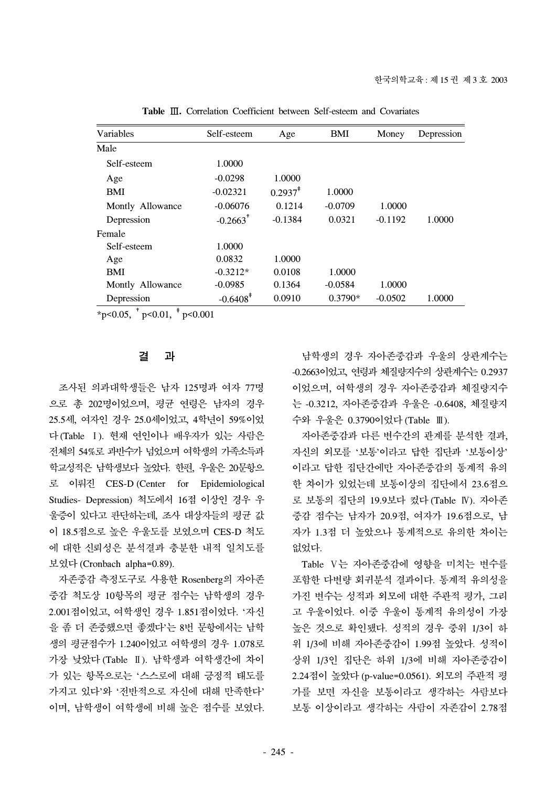| Self-esteem            | Age        | BMI       | Money     | Depression |
|------------------------|------------|-----------|-----------|------------|
|                        |            |           |           |            |
| 1.0000                 |            |           |           |            |
| $-0.0298$              | 1.0000     |           |           |            |
| $-0.02321$             | $0.2937^*$ | 1.0000    |           |            |
| $-0.06076$             | 0.1214     | $-0.0709$ | 1.0000    |            |
| $-0.2663$ <sup>*</sup> | $-0.1384$  | 0.0321    | $-0.1192$ | 1.0000     |
|                        |            |           |           |            |
| 1.0000                 |            |           |           |            |
| 0.0832                 | 1.0000     |           |           |            |
| $-0.3212*$             | 0.0108     | 1.0000    |           |            |
| $-0.0985$              | 0.1364     | $-0.0584$ | 1.0000    |            |
| $-0.6408$ <sup>*</sup> | 0.0910     | $0.3790*$ | $-0.0502$ | 1.0000     |
|                        |            |           |           |            |

**Table** Ⅲ**.** Correlation Coefficient between Self-esteem and Covariates

 $*$ p<0.05,  $*$ p<0.01,  $*$ p<0.001

## 결 과

 조사된 의과대학생들은 남자 125명과 여자 77명 으로 총 202명이었으며, 평균 연령은 남자의 경우 25.5세, 여자인 경우 25.0세이었고, 4학년이 59%이었 다(Table Ⅰ). 현재 연인이나 배우자가 있는 사람은 전체의 54%로 과반수가 넘었으며 여학생의 가족소득과 학교성적은 남학생보다 높았다. 한편, 우울은 20문항으 로 이뤄진 CES-D (Center for Epidemiological Studies- Depression) 척도에서 16점 이상인 경우 우 울증이 있다고 판단하는데, 조사 대상자들의 평균 값 이 18.5점으로 높은 우울도를 보였으며 CES-D 척도 에 대한 신뢰성은 분석결과 충분한 내적 일치도를 보였다 (Cronbach alpha=0.89).

 자존중감 측정도구로 사용한 Rosenberg의 자아존 중감 척도상 10항목의 평균 점수는 남학생의 경우 2.001점이었고, 여학생인 경우 1.851점이었다. '자신 을 좀 더 존중했으면 좋겠다'는 8번 문항에서는 남학 생의 평균점수가 1.240이었고 여학생의 경우 1.078로 가장 낮았다 (Table Ⅱ). 남학생과 여학생간에 차이 가 있는 항목으로는 '스스로에 대해 긍정적 태도를 가지고 있다'와 '전반적으로 자신에 대해 만족한다' 이며, 남학생이 여학생에 비해 높은 점수를 보였다.

 남학생의 경우 자아존중감과 우울의 상관계수는 -0.2663이었고, 연령과 체질량지수의 상관계수는 0.2937 이었으며, 여학생의 경우 자아존중감과 체질량지수 는 -0.3212, 자아존중감과 우울은 -0.6408, 체질량지 수와 우울은 0.3790이었다 (Table Ⅲ).

 자아존중감과 다른 변수간의 관계를 분석한 결과, 자신의 외모를 '보통'이라고 답한 집단과 '보통이상' 이라고 답한 집단간에만 자아존중감의 통계적 유의 한 차이가 있었는데 보통이상의 집단에서 23.6점으 로 보통의 집단의 19.9보다 컸다 (Table Ⅳ). 자아존 중감 점수는 남자가 20.9점, 여자가 19.6점으로, 남 자가 1.3점 더 높았으나 통계적으로 유의한 차이는 없었다.

 Table Ⅴ는 자아존중감에 영향을 미치는 변수를 포함한 다변량 회귀분석 결과이다. 통계적 유의성을 가진 변수는 성적과 외모에 대한 주관적 평가, 그리 고 우울이었다. 이중 우울이 통계적 유의성이 가장 높은 것으로 확인됐다. 성적의 경우 중위 1/3이 하 위 1/3에 비해 자아존중감이 1.99점 높았다. 성적이 상위 1/3인 집단은 하위 1/3에 비해 자아존중감이 2.24점이 높았다 (p-value=0.0561). 외모의 주관적 평 가를 보면 자신을 보통이라고 생각하는 사람보다 보통 이상이라고 생각하는 사람이 자존감이 2.78점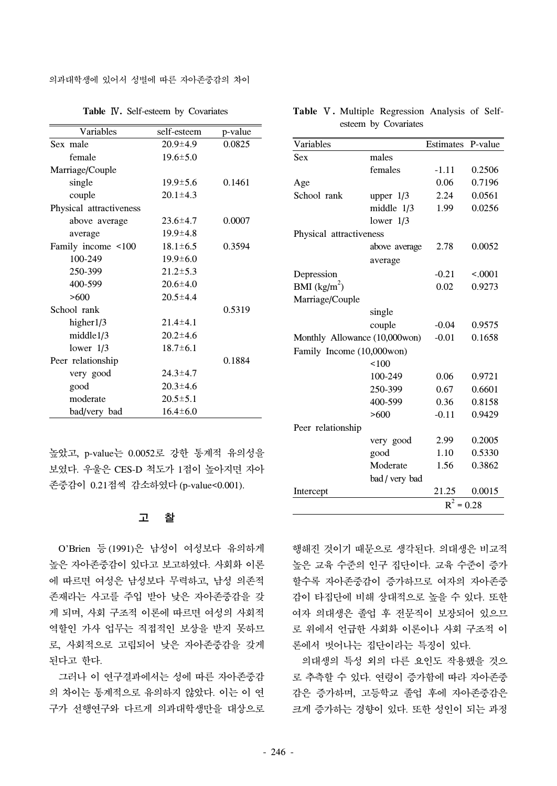의과대학생에 있어서 성별에 따른 자아존중감의 차이

| Variables               | self-esteem    | p-value |
|-------------------------|----------------|---------|
| Sex male                | $20.9 \pm 4.9$ | 0.0825  |
| female                  | $19.6 \pm 5.0$ |         |
| Marriage/Couple         |                |         |
| single                  | $19.9 \pm 5.6$ | 0.1461  |
| couple                  | $20.1 \pm 4.3$ |         |
| Physical attractiveness |                |         |
| above average           | $23.6 \pm 4.7$ | 0.0007  |
| average                 | $19.9 \pm 4.8$ |         |
| Family income <100      | $18.1 \pm 6.5$ | 0.3594  |
| 100-249                 | $19.9 \pm 6.0$ |         |
| 250-399                 | $21.2 \pm 5.3$ |         |
| 400-599                 | $20.6 \pm 4.0$ |         |
| >600                    | $20.5 \pm 4.4$ |         |
| School rank             |                | 0.5319  |
| higher $1/3$            | $21.4 \pm 4.1$ |         |
| middle1/3               | $20.2 \pm 4.6$ |         |
| lower $1/3$             | $18.7 \pm 6.1$ |         |
| Peer relationship       |                | 0.1884  |
| very good               | $24.3 \pm 4.7$ |         |
| good                    | $20.3 \pm 4.6$ |         |
| moderate                | $20.5 \pm 5.1$ |         |
| bad/very bad            | $16.4 \pm 6.0$ |         |

**Table** Ⅳ**.** Self-esteem by Covariates

높았고, p-value는 0.0052로 강한 통계적 유의성을 보였다. 우울은 CES-D 척도가 1점이 높아지면 자아 존중감이 0.21점씩 감소하였다 (p-value<0.001).

#### 고 찰

 O'Brien 등 (1991)은 남성이 여성보다 유의하게 높은 자아존중감이 있다고 보고하였다. 사회화 이론 에 따르면 여성은 남성보다 무력하고, 남성 의존적 존재라는 사고를 주입 받아 낮은 자아존중감을 갖 게 되며, 사회 구조적 이론에 따르면 여성의 사회적 역할인 가사 업무는 직접적인 보상을 받지 못하므 로, 사회적으로 고립되어 낮은 자아존중감을 갖게 된다고 한다.

 그러나 이 연구결과에서는 성에 따른 자아존중감 의 차이는 통계적으로 유의하지 않았다. 이는 이 연 구가 선행연구와 다르게 의과대학생만을 대상으로

| <b>Table V.</b> Multiple Regression Analysis of Self- |                      |  |  |
|-------------------------------------------------------|----------------------|--|--|
|                                                       | esteem by Covariates |  |  |

| Variables                     |                | Estimates    | P-value |  |
|-------------------------------|----------------|--------------|---------|--|
| <b>Sex</b>                    | males          |              |         |  |
|                               | females        | $-1.11$      | 0.2506  |  |
| Age                           |                | 0.06         | 0.7196  |  |
| School rank                   | upper $1/3$    | 2.24         | 0.0561  |  |
|                               | middle 1/3     | 1.99         | 0.0256  |  |
|                               | lower $1/3$    |              |         |  |
| Physical attractiveness       |                |              |         |  |
|                               | above average  | 2.78         | 0.0052  |  |
|                               | average        |              |         |  |
| Depression                    |                | $-0.21$      | < .0001 |  |
| BMI $(kg/m^2)$                |                | 0.02         | 0.9273  |  |
| Marriage/Couple               |                |              |         |  |
|                               | single         |              |         |  |
|                               | couple         | $-0.04$      | 0.9575  |  |
| Monthly Allowance (10,000won) |                | $-0.01$      | 0.1658  |  |
| Family Income (10,000won)     |                |              |         |  |
|                               | 100            |              |         |  |
|                               | 100-249        | 0.06         | 0.9721  |  |
|                               | 250-399        | 0.67         | 0.6601  |  |
|                               | 400-599        | 0.36         | 0.8158  |  |
|                               | >600           | $-0.11$      | 0.9429  |  |
| Peer relationship             |                |              |         |  |
|                               | very good      | 2.99         | 0.2005  |  |
|                               | good           | 1.10         | 0.5330  |  |
|                               | Moderate       | 1.56         | 0.3862  |  |
|                               | bad / very bad |              |         |  |
| Intercept                     |                | 21.25        | 0.0015  |  |
|                               |                | $R^2 = 0.28$ |         |  |

행해진 것이기 때문으로 생각된다. 의대생은 비교적 높은 교육 수준의 인구 집단이다. 교육 수준이 증가 할수록 자아존중감이 증가하므로 여자의 자아존중 감이 타집단에 비해 상대적으로 높을 수 있다. 또한 여자 의대생은 졸업 후 전문직이 보장되어 있으므 로 위에서 언급한 사회화 이론이나 사회 구조적 이 론에서 벗어나는 집단이라는 특징이 있다.

 의대생의 특성 외의 다른 요인도 작용했을 것으 로 추측할 수 있다. 연령이 증가함에 따라 자아존중 감은 증가하며, 고등학교 졸업 후에 자아존중감은 크게 증가하는 경향이 있다. 또한 성인이 되는 과정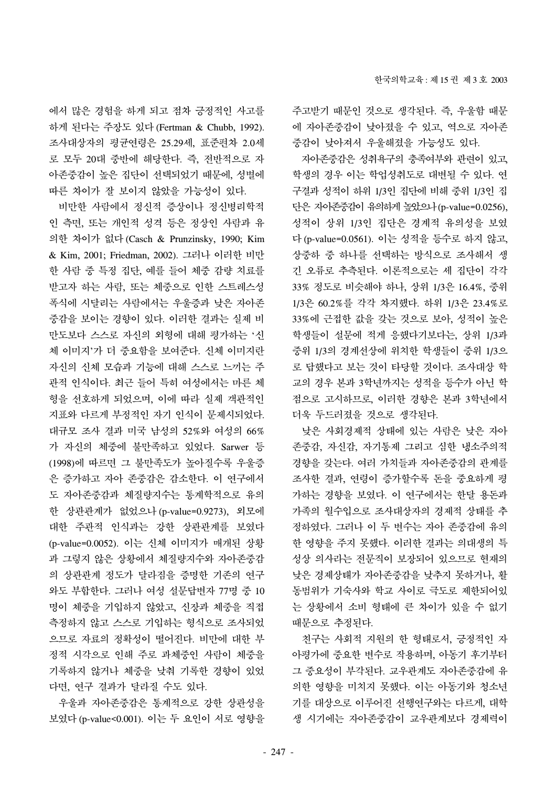에서 많은 경험을 하게 되고 점차 긍정적인 사고를 하게 된다는 주장도 있다 (Fertman & Chubb, 1992). 조사대상자의 평균연령은 25.29세, 표준편차 2.0세 로 모두 20대 중반에 해당한다. 즉, 전반적으로 자 아존중감이 높은 집단이 선택되었기 때문에, 성별에 따른 차이가 잘 보이지 않았을 가능성이 있다.

 비만한 사람에서 정신적 증상이나 정신병리학적 인 측면, 또는 개인적 성격 등은 정상인 사람과 유 의한 차이가 없다 (Casch & Prunzinsky, 1990; Kim & Kim, 2001; Friedman, 2002). 그러나 이러한 비만 한 사람 중 특정 집단, 예를 들어 체중 감량 치료를 받고자 하는 사람, 또는 체중으로 인한 스트레스성 폭식에 시달리는 사람에서는 우울증과 낮은 자아존 중감을 보이는 경향이 있다. 이러한 결과는 실제 비 만도보다 스스로 자신의 외형에 대해 평가하는 '신 체 이미지'가 더 중요함을 보여준다. 신체 이미지란 자신의 신체 모습과 기능에 대해 스스로 느끼는 주 관적 인식이다. 최근 들어 특히 여성에서는 마른 체 형을 선호하게 되었으며, 이에 따라 실제 객관적인 지표와 다르게 부정적인 자기 인식이 문제시되었다. 대규모 조사 결과 미국 남성의 52%와 여성의 66% 가 자신의 체중에 불만족하고 있었다. Sarwer 등 (1998)에 따르면 그 불만족도가 높아질수록 우울증 은 증가하고 자아 존중감은 감소한다. 이 연구에서 도 자아존중감과 체질량지수는 통계학적으로 유의 한 상관관계가 없었으나 (p-value=0.9273), 외모에 대한 주관적 인식과는 강한 상관관계를 보였다 (p-value=0.0052). 이는 신체 이미지가 매개된 상황 과 그렇지 않은 상황에서 체질량지수와 자아존중감 의 상관관계 정도가 달라짐을 증명한 기존의 연구 와도 부합한다. 그러나 여성 설문답변자 77명 중 10 명이 체중을 기입하지 않았고, 신장과 체중을 직접 측정하지 않고 스스로 기입하는 형식으로 조사되었 으므로 자료의 정확성이 떨어진다. 비만에 대한 부 정적 시각으로 인해 주로 과체중인 사람이 체중을 기록하지 않거나 체중을 낮춰 기록한 경향이 있었 다면, 연구 결과가 달라질 수도 있다.

 우울과 자아존중감은 통계적으로 강한 상관성을 보였다 (p-value<0.001). 이는 두 요인이 서로 영향을 주고받기 때문인 것으로 생각된다. 즉, 우울함 때문 에 자아존중감이 낮아졌을 수 있고, 역으로 자아존 중감이 낮아져서 우울해졌을 가능성도 있다.

 자아존중감은 성취욕구의 충족여부와 관련이 있고, 학생의 경우 이는 학업성취도로 대변될 수 있다. 연 구결과 성적이 하위 1/3인 집단에 비해 중위 1/3인 집 단은 자아존중감이 유의하게 높았으나(p-value=0.0256), 성적이 상위 1/3인 집단은 경계적 유의성을 보였 다 (p-value=0.0561). 이는 성적을 등수로 하지 않고, 상중하 중 하나를 선택하는 방식으로 조사해서 생 긴 오류로 추측된다. 이론적으로는 세 집단이 각각 33% 정도로 비슷해야 하나, 상위 1/3은 16.4%, 중위 1/3은 60.2%를 각각 차지했다. 하위 1/3은 23.4%로 33%에 근접한 값을 갖는 것으로 보아, 성적이 높은 학생들이 설문에 적게 응했다기보다는, 상위 1/3과 중위 1/3의 경계선상에 위치한 학생들이 중위 1/3으 로 답했다고 보는 것이 타당할 것이다. 조사대상 학 교의 경우 본과 3학년까지는 성적을 등수가 아닌 학 점으로 고시하므로, 이러한 경향은 본과 3학년에서 더욱 두드러졌을 것으로 생각된다.

 낮은 사회경제적 상태에 있는 사람은 낮은 자아 존중감, 자신감, 자기통제 그리고 심한 냉소주의적 경향을 갖는다. 여러 가치들과 자아존중감의 관계를 조사한 결과, 연령이 증가할수록 돈을 중요하게 평 가하는 경향을 보였다. 이 연구에서는 한달 용돈과 가족의 월수입으로 조사대상자의 경제적 상태를 추 정하였다. 그러나 이 두 변수는 자아 존중감에 유의 한 영향을 주지 못했다. 이러한 결과는 의대생의 특 성상 의사라는 전문직이 보장되어 있으므로 현재의 낮은 경제상태가 자아존중감을 낮추지 못하거나, 활 동범위가 기숙사와 학교 사이로 극도로 제한되어있 는 상황에서 소비 형태에 큰 차이가 있을 수 없기 때문으로 추정된다.

 친구는 사회적 지원의 한 형태로서, 긍정적인 자 아평가에 중요한 변수로 작용하며, 아동기 후기부터 그 중요성이 부각된다. 교우관계도 자아존중감에 유 의한 영향을 미치지 못했다. 이는 아동기와 청소년 기를 대상으로 이루어진 선행연구와는 다르게, 대학 생 시기에는 자아존중감이 교우관계보다 경제력이